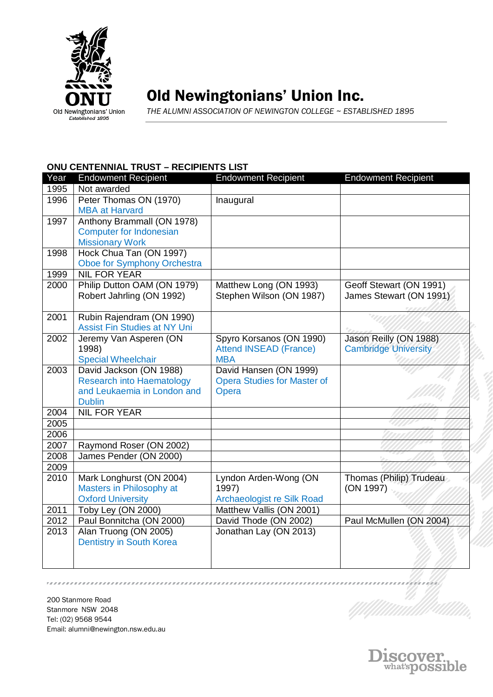

## Old Newingtonians' Union Inc.

*THE ALUMNI ASSOCIATION OF NEWINGTON COLLEGE ~ ESTABLISHED 1895*

## **ONU CENTENNIAL TRUST – RECIPIENTS LIST**

| Year | <b>Endowment Recipient</b>                   | <b>Endowment Recipient</b>         | <b>Endowment Recipient</b>  |
|------|----------------------------------------------|------------------------------------|-----------------------------|
| 1995 | Not awarded                                  |                                    |                             |
| 1996 | Peter Thomas ON (1970)                       | Inaugural                          |                             |
|      | <b>MBA at Harvard</b>                        |                                    |                             |
| 1997 | Anthony Brammall (ON 1978)                   |                                    |                             |
|      | <b>Computer for Indonesian</b>               |                                    |                             |
|      | <b>Missionary Work</b>                       |                                    |                             |
| 1998 | Hock Chua Tan (ON 1997)                      |                                    |                             |
|      | Oboe for Symphony Orchestra                  |                                    |                             |
| 1999 | <b>NIL FOR YEAR</b>                          |                                    |                             |
| 2000 | Philip Dutton OAM (ON 1979)                  | Matthew Long (ON 1993)             | Geoff Stewart (ON 1991)     |
|      | Robert Jahrling (ON 1992)                    | Stephen Wilson (ON 1987)           | James Stewart (ON 1991)     |
| 2001 | Rubin Rajendram (ON 1990)                    |                                    |                             |
|      | <b>Assist Fin Studies at NY Uni</b>          |                                    |                             |
| 2002 | Jeremy Van Asperen (ON                       | Spyro Korsanos (ON 1990)           | Jason Reilly (ON 1988)      |
|      | 1998)                                        | <b>Attend INSEAD (France)</b>      | <b>Cambridge University</b> |
|      | <b>Special Wheelchair</b>                    | <b>MBA</b>                         |                             |
| 2003 | David Jackson (ON 1988)                      | David Hansen (ON 1999)             |                             |
|      | <b>Research into Haematology</b>             | <b>Opera Studies for Master of</b> |                             |
|      | and Leukaemia in London and<br><b>Dublin</b> | Opera                              |                             |
| 2004 | <b>NIL FOR YEAR</b>                          |                                    |                             |
| 2005 |                                              |                                    |                             |
| 2006 |                                              |                                    |                             |
| 2007 | Raymond Roser (ON 2002)                      |                                    |                             |
| 2008 | James Pender (ON 2000)                       |                                    |                             |
| 2009 |                                              |                                    |                             |
| 2010 | Mark Longhurst (ON 2004)                     | Lyndon Arden-Wong (ON              | Thomas (Philip) Trudeau     |
|      | Masters in Philosophy at                     | 1997)                              | (ON 1997)                   |
|      | <b>Oxford University</b>                     | Archaeologist re Silk Road         |                             |
| 2011 | Toby Ley (ON 2000)                           | Matthew Vallis (ON 2001)           |                             |
| 2012 | Paul Bonnitcha (ON 2000)                     | David Thode (ON 2002)              | Paul McMullen (ON 2004)     |
| 2013 | Alan Truong (ON 2005)                        | Jonathan Lay (ON 2013)             |                             |
|      | <b>Dentistry in South Korea</b>              |                                    |                             |
|      |                                              |                                    |                             |
|      |                                              |                                    |                             |

200 Stanmore Road Stanmore NSW 2048 Tel: (02) 9568 9544 Email: alumni@newington.nsw.edu.au

,,,,,,,,,,,,,,,,,,,,,,,,